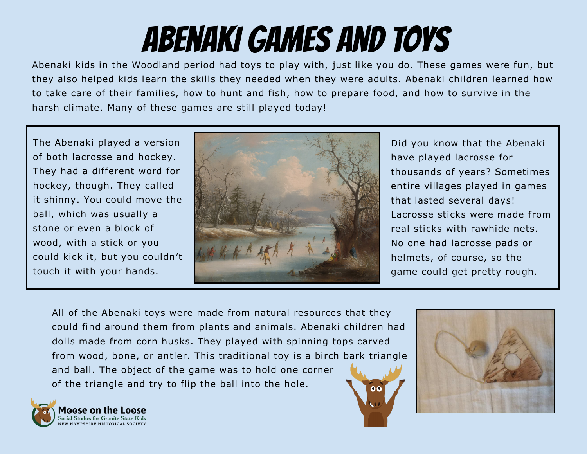## Abenaki Games and Toys

Abenaki kids in the Woodland period had toys to play with, just like you do. These games were fun, but they also helped kids learn the skills they needed when they were adults. Abenaki children learned how to take care of their families, how to hunt and fish, how to prepare food, and how to survive in the harsh climate. Many of these games are still played today!

The Abenaki played a version of both lacrosse and hockey. They had a different word for hockey, though. They called it shinny. You could move the ball, which was usually a stone or even a block of wood, with a stick or you could kick it, but you couldn't touch it with your hands.



Did you know that the Abenaki have played lacrosse for thousands of years? Sometimes entire villages played in games that lasted several days! Lacrosse sticks were made from real sticks with rawhide nets. No one had lacrosse pads or helmets, of course, so the game could get pretty rough.

All of the Abenaki toys were made from natural resources that they could find around them from plants and animals. Abenaki children had dolls made from corn husks. They played with spinning tops carved from wood, bone, or antler. This traditional toy is a birch bark triangle and ball. The object of the game was to hold one corner of the triangle and try to flip the ball into the hole.